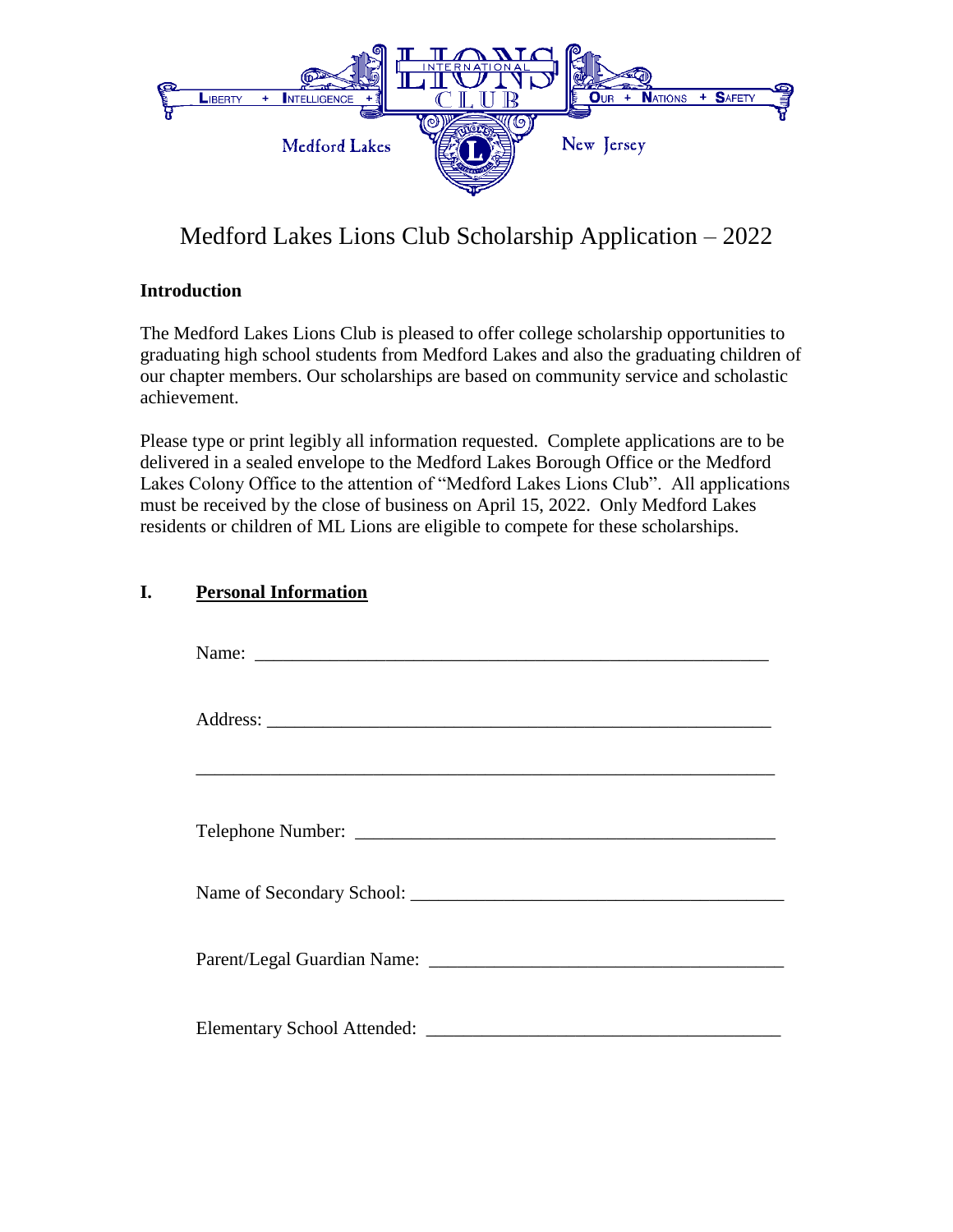

# Medford Lakes Lions Club Scholarship Application – 2022

#### **Introduction**

The Medford Lakes Lions Club is pleased to offer college scholarship opportunities to graduating high school students from Medford Lakes and also the graduating children of our chapter members. Our scholarships are based on community service and scholastic achievement.

Please type or print legibly all information requested. Complete applications are to be delivered in a sealed envelope to the Medford Lakes Borough Office or the Medford Lakes Colony Office to the attention of "Medford Lakes Lions Club". All applications must be received by the close of business on April 15, 2022. Only Medford Lakes residents or children of ML Lions are eligible to compete for these scholarships.

## **I. Personal Information**

| Name:                       |
|-----------------------------|
|                             |
|                             |
|                             |
|                             |
| Parent/Legal Guardian Name: |
|                             |